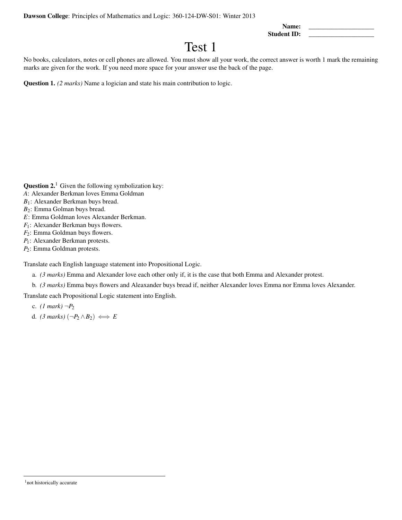Dawson College: Principles of Mathematics and Logic: 360-124-DW-S01: Winter 2013

Name: Student ID:

## Test 1

No books, calculators, notes or cell phones are allowed. You must show all your work, the correct answer is worth 1 mark the remaining marks are given for the work. If you need more space for your answer use the back of the page.

Question 1. *(2 marks)* Name a logician and state his main contribution to logic.

**Question 2.**<sup>1</sup> Given the following symbolization key:

- *A*: Alexander Berkman loves Emma Goldman
- *B*1: Alexander Berkman buys bread.
- *B*2: Emma Golman buys bread.
- *E*: Emma Goldman loves Alexander Berkman.
- *F*<sub>1</sub>: Alexander Berkman buys flowers.
- *F*<sub>2</sub>: Emma Goldman buys flowers.
- *P*<sub>1</sub>: Alexander Berkman protests.
- *P*2: Emma Goldman protests.

Translate each English language statement into Propositional Logic.

- a. *(3 marks)* Emma and Alexander love each other only if, it is the case that both Emma and Alexander protest.
- b. *(3 marks)* Emma buys flowers and Aleaxander buys bread if, neither Alexander loves Emma nor Emma loves Alexander.

Translate each Propositional Logic statement into English.

c.  $(1 \text{ mark}) \neg P_2$ 

d. *(3 marks)*  $(\neg P_2 \land B_2) \iff E$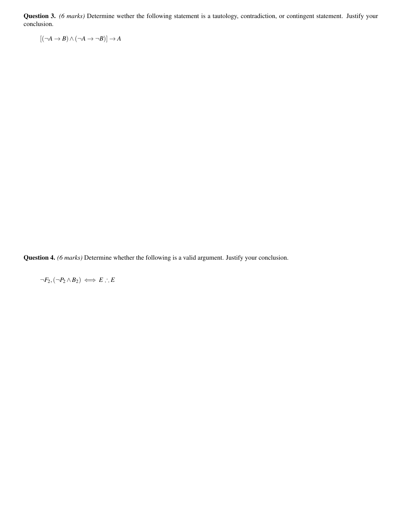Question 3. *(6 marks)* Determine wether the following statement is a tautology, contradiction, or contingent statement. Justify your conclusion.

 $[$ ( $\neg A \rightarrow B$ )  $\land$  ( $\neg A \rightarrow \neg B$ )]  $\rightarrow A$ 

Question 4. *(6 marks)* Determine whether the following is a valid argument. Justify your conclusion.

 $\neg F_2, (\neg P_2 \land B_2) \iff E : E$